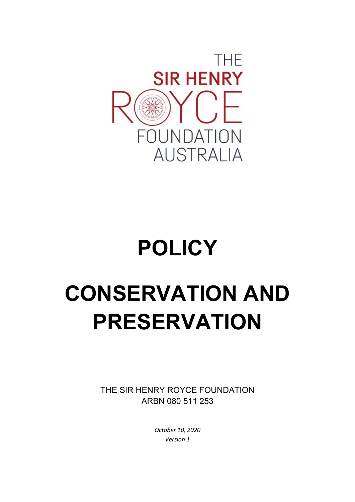

# **POLICY**

# **CONSERVATION AND PRESERVATION**

THE SIR HENRY ROYCE FOUNDATION ARBN 080 511 253

> *October 10, 2020 Version 1*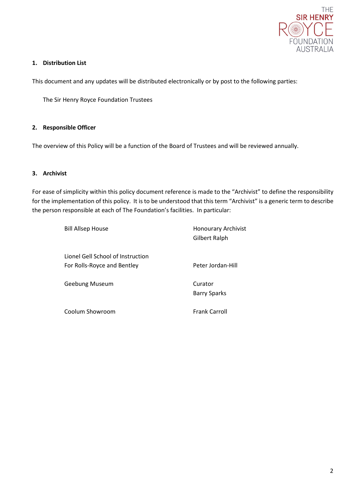

# **1. Distribution List**

This document and any updates will be distributed electronically or by post to the following parties:

The Sir Henry Royce Foundation Trustees

#### **2. Responsible Officer**

The overview of this Policy will be a function of the Board of Trustees and will be reviewed annually.

# **3. Archivist**

For ease of simplicity within this policy document reference is made to the "Archivist" to define the responsibility for the implementation of this policy. It is to be understood that this term "Archivist" is a generic term to describe the person responsible at each of The Foundation's facilities. In particular:

| <b>Bill Allsep House</b>                                         | <b>Honourary Archivist</b><br>Gilbert Ralph |
|------------------------------------------------------------------|---------------------------------------------|
| Lionel Gell School of Instruction<br>For Rolls-Royce and Bentley | Peter Jordan-Hill                           |
| Geebung Museum                                                   | Curator<br><b>Barry Sparks</b>              |
| Coolum Showroom                                                  | <b>Frank Carroll</b>                        |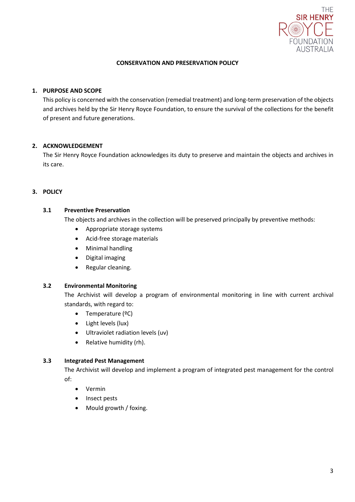

#### **CONSERVATION AND PRESERVATION POLICY**

# **1. PURPOSE AND SCOPE**

This policy is concerned with the conservation (remedial treatment) and long-term preservation of the objects and archives held by the Sir Henry Royce Foundation, to ensure the survival of the collections for the benefit of present and future generations.

# **2. ACKNOWLEDGEMENT**

The Sir Henry Royce Foundation acknowledges its duty to preserve and maintain the objects and archives in its care.

# **3. POLICY**

#### **3.1 Preventive Preservation**

The objects and archives in the collection will be preserved principally by preventive methods:

- Appropriate storage systems
- Acid-free storage materials
- Minimal handling
- Digital imaging
- Regular cleaning.

#### **3.2 Environmental Monitoring**

The Archivist will develop a program of environmental monitoring in line with current archival standards, with regard to:

- Temperature (ºC)
- Light levels (lux)
- Ultraviolet radiation levels (uv)
- Relative humidity (rh).

#### **3.3 Integrated Pest Management**

The Archivist will develop and implement a program of integrated pest management for the control of:

- Vermin
- Insect pests
- Mould growth / foxing.